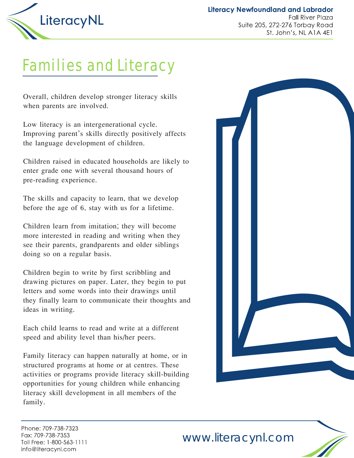

**Literacy Newfoundland and Labrador Fall River Plaza** Suite 205, 272-276 Torbay Road St. John's, NL A1A 4E1

## Families and Literacy

Overall, children develop stronger literacy skills when parents are involved.

Low literacy is an intergenerational cycle. Improving parent's skills directly positively affects the language development of children.

Children raised in educated households are likely to enter grade one with several thousand hours of pre-reading experience.

The skills and capacity to learn, that we develop before the age of 6, stay with us for a lifetime.

Children learn from imitation; they will become more interested in reading and writing when they see their parents, grandparents and older siblings doing so on a regular basis.

Children begin to write by first scribbling and drawing pictures on paper. Later, they begin to put letters and some words into their drawings until they finally learn to communicate their thoughts and ideas in writing.

Each child learns to read and write at a different speed and ability level than his/her peers.

Family literacy can happen naturally at home, or in structured programs at home or at centres. These activities or programs provide literacy skill-building opportunities for young children while enhancing literacy skill development in all members of the family.



Phone: 709-738-7323 Fax: 709-738-7353 Toll Free: 1-800-563-1111 info@literacynl.com

www.literacynl.com